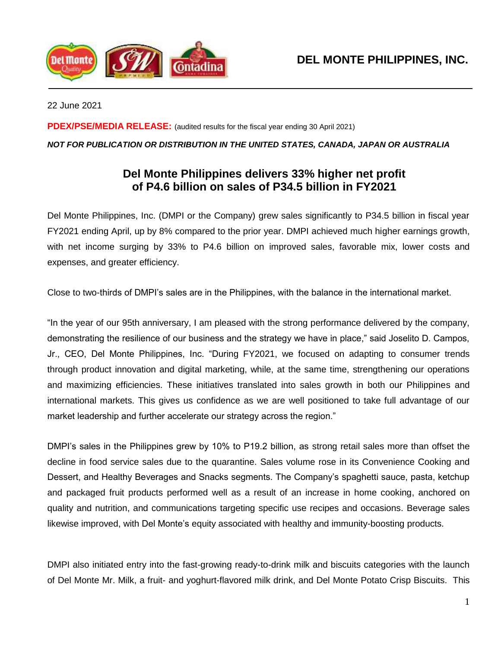

22 June 2021

**PDEX/PSE/MEDIA RELEASE:** (audited results for the fiscal year ending 30 April 2021)

# *NOT FOR PUBLICATION OR DISTRIBUTION IN THE UNITED STATES, CANADA, JAPAN OR AUSTRALIA*

# **Del Monte Philippines delivers 33% higher net profit of P4.6 billion on sales of P34.5 billion in FY2021**

Del Monte Philippines, Inc. (DMPI or the Company) grew sales significantly to P34.5 billion in fiscal year FY2021 ending April, up by 8% compared to the prior year. DMPI achieved much higher earnings growth, with net income surging by 33% to P4.6 billion on improved sales, favorable mix, lower costs and expenses, and greater efficiency.

Close to two-thirds of DMPI's sales are in the Philippines, with the balance in the international market.

"In the year of our 95th anniversary, I am pleased with the strong performance delivered by the company, demonstrating the resilience of our business and the strategy we have in place," said Joselito D. Campos, Jr., CEO, Del Monte Philippines, Inc. "During FY2021, we focused on adapting to consumer trends through product innovation and digital marketing, while, at the same time, strengthening our operations and maximizing efficiencies. These initiatives translated into sales growth in both our Philippines and international markets. This gives us confidence as we are well positioned to take full advantage of our market leadership and further accelerate our strategy across the region."

DMPI's sales in the Philippines grew by 10% to P19.2 billion, as strong retail sales more than offset the decline in food service sales due to the quarantine. Sales volume rose in its Convenience Cooking and Dessert, and Healthy Beverages and Snacks segments. The Company's spaghetti sauce, pasta, ketchup and packaged fruit products performed well as a result of an increase in home cooking, anchored on quality and nutrition, and communications targeting specific use recipes and occasions. Beverage sales likewise improved, with Del Monte's equity associated with healthy and immunity-boosting products.

DMPI also initiated entry into the fast-growing ready-to-drink milk and biscuits categories with the launch of Del Monte Mr. Milk, a fruit- and yoghurt-flavored milk drink, and Del Monte Potato Crisp Biscuits. This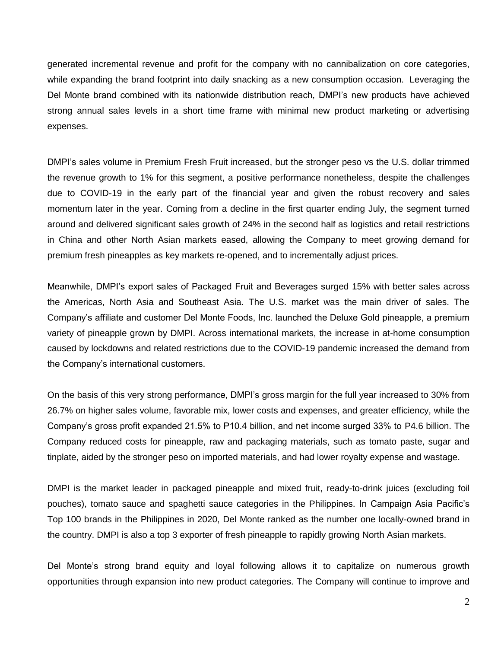generated incremental revenue and profit for the company with no cannibalization on core categories, while expanding the brand footprint into daily snacking as a new consumption occasion. Leveraging the Del Monte brand combined with its nationwide distribution reach, DMPI's new products have achieved strong annual sales levels in a short time frame with minimal new product marketing or advertising expenses.

DMPI's sales volume in Premium Fresh Fruit increased, but the stronger peso vs the U.S. dollar trimmed the revenue growth to 1% for this segment, a positive performance nonetheless, despite the challenges due to COVID-19 in the early part of the financial year and given the robust recovery and sales momentum later in the year. Coming from a decline in the first quarter ending July, the segment turned around and delivered significant sales growth of 24% in the second half as logistics and retail restrictions in China and other North Asian markets eased, allowing the Company to meet growing demand for premium fresh pineapples as key markets re-opened, and to incrementally adjust prices.

Meanwhile, DMPI's export sales of Packaged Fruit and Beverages surged 15% with better sales across the Americas, North Asia and Southeast Asia. The U.S. market was the main driver of sales. The Company's affiliate and customer Del Monte Foods, Inc. launched the Deluxe Gold pineapple, a premium variety of pineapple grown by DMPI. Across international markets, the increase in at-home consumption caused by lockdowns and related restrictions due to the COVID-19 pandemic increased the demand from the Company's international customers.

On the basis of this very strong performance, DMPI's gross margin for the full year increased to 30% from 26.7% on higher sales volume, favorable mix, lower costs and expenses, and greater efficiency, while the Company's gross profit expanded 21.5% to P10.4 billion, and net income surged 33% to P4.6 billion. The Company reduced costs for pineapple, raw and packaging materials, such as tomato paste, sugar and tinplate, aided by the stronger peso on imported materials, and had lower royalty expense and wastage.

DMPI is the market leader in packaged pineapple and mixed fruit, ready-to-drink juices (excluding foil pouches), tomato sauce and spaghetti sauce categories in the Philippines. In Campaign Asia Pacific's Top 100 brands in the Philippines in 2020, Del Monte ranked as the number one locally-owned brand in the country. DMPI is also a top 3 exporter of fresh pineapple to rapidly growing North Asian markets.

Del Monte's strong brand equity and loyal following allows it to capitalize on numerous growth opportunities through expansion into new product categories. The Company will continue to improve and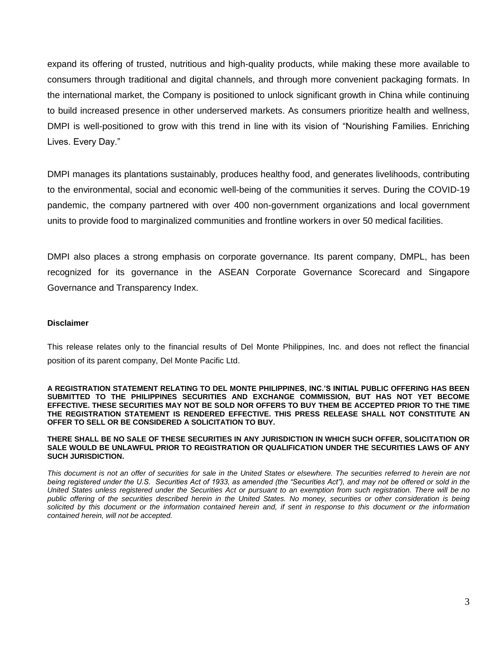expand its offering of trusted, nutritious and high-quality products, while making these more available to consumers through traditional and digital channels, and through more convenient packaging formats. In the international market, the Company is positioned to unlock significant growth in China while continuing to build increased presence in other underserved markets. As consumers prioritize health and wellness, DMPI is well-positioned to grow with this trend in line with its vision of "Nourishing Families. Enriching Lives. Every Day."

DMPI manages its plantations sustainably, produces healthy food, and generates livelihoods, contributing to the environmental, social and economic well-being of the communities it serves. During the COVID-19 pandemic, the company partnered with over 400 non-government organizations and local government units to provide food to marginalized communities and frontline workers in over 50 medical facilities.

DMPI also places a strong emphasis on corporate governance. Its parent company, DMPL, has been recognized for its governance in the ASEAN Corporate Governance Scorecard and Singapore Governance and Transparency Index.

### **Disclaimer**

This release relates only to the financial results of Del Monte Philippines, Inc. and does not reflect the financial position of its parent company, Del Monte Pacific Ltd.

**A REGISTRATION STATEMENT RELATING TO DEL MONTE PHILIPPINES, INC.'S INITIAL PUBLIC OFFERING HAS BEEN SUBMITTED TO THE PHILIPPINES SECURITIES AND EXCHANGE COMMISSION, BUT HAS NOT YET BECOME EFFECTIVE. THESE SECURITIES MAY NOT BE SOLD NOR OFFERS TO BUY THEM BE ACCEPTED PRIOR TO THE TIME THE REGISTRATION STATEMENT IS RENDERED EFFECTIVE. THIS PRESS RELEASE SHALL NOT CONSTITUTE AN OFFER TO SELL OR BE CONSIDERED A SOLICITATION TO BUY.**

**THERE SHALL BE NO SALE OF THESE SECURITIES IN ANY JURISDICTION IN WHICH SUCH OFFER, SOLICITATION OR SALE WOULD BE UNLAWFUL PRIOR TO REGISTRATION OR QUALIFICATION UNDER THE SECURITIES LAWS OF ANY SUCH JURISDICTION.**

*This document is not an offer of securities for sale in the United States or elsewhere. The securities referred to herein are not being registered under the U.S. Securities Act of 1933, as amended (the "Securities Act"), and may not be offered or sold in the United States unless registered under the Securities Act or pursuant to an exemption from such registration. There will be no public offering of the securities described herein in the United States. No money, securities or other consideration is being solicited by this document or the information contained herein and, if sent in response to this document or the information contained herein, will not be accepted.*